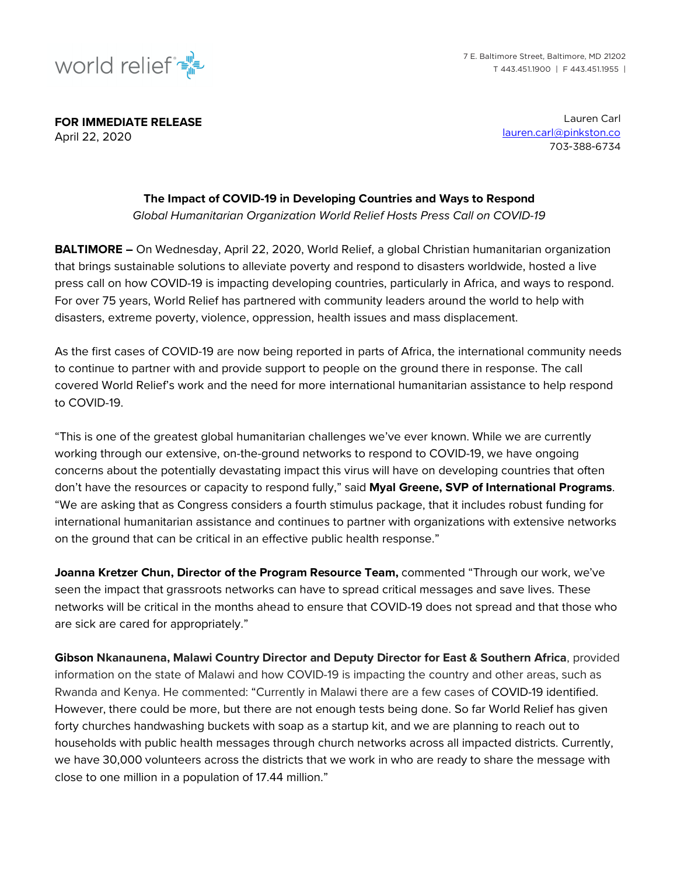

**FOR IMMEDIATE RELEASE**  April 22, 2020

Lauren Carl lauren.carl@pinkston.co 703-388-6734

## **The Impact of COVID-19 in Developing Countries and Ways to Respond**

*Global Humanitarian Organization World Relief Hosts Press Call on COVID-19*

**BALTIMORE –** On Wednesday, April 22, 2020, World Relief, a global Christian humanitarian organization that brings sustainable solutions to alleviate poverty and respond to disasters worldwide, hosted a live press call on how COVID-19 is impacting developing countries, particularly in Africa, and ways to respond. For over 75 years, World Relief has partnered with community leaders around the world to help with disasters, extreme poverty, violence, oppression, health issues and mass displacement.

As the first cases of COVID-19 are now being reported in parts of Africa, the international community needs to continue to partner with and provide support to people on the ground there in response. The call covered World Relief's work and the need for more international humanitarian assistance to help respond to COVID-19.

"This is one of the greatest global humanitarian challenges we've ever known. While we are currently working through our extensive, on-the-ground networks to respond to COVID-19, we have ongoing concerns about the potentially devastating impact this virus will have on developing countries that often don't have the resources or capacity to respond fully," said **Myal Greene, SVP of International Programs**. "We are asking that as Congress considers a fourth stimulus package, that it includes robust funding for international humanitarian assistance and continues to partner with organizations with extensive networks on the ground that can be critical in an effective public health response."

**Joanna Kretzer Chun, Director of the Program Resource Team,** commented "Through our work, we've seen the impact that grassroots networks can have to spread critical messages and save lives. These networks will be critical in the months ahead to ensure that COVID-19 does not spread and that those who are sick are cared for appropriately."

**Gibson Nkanaunena, Malawi Country Director and Deputy Director for East & Southern Africa**, provided information on the state of Malawi and how COVID-19 is impacting the country and other areas, such as Rwanda and Kenya. He commented: "Currently in Malawi there are a few cases of COVID-19 identified. However, there could be more, but there are not enough tests being done. So far World Relief has given forty churches handwashing buckets with soap as a startup kit, and we are planning to reach out to households with public health messages through church networks across all impacted districts. Currently, we have 30,000 volunteers across the districts that we work in who are ready to share the message with close to one million in a population of 17.44 million."